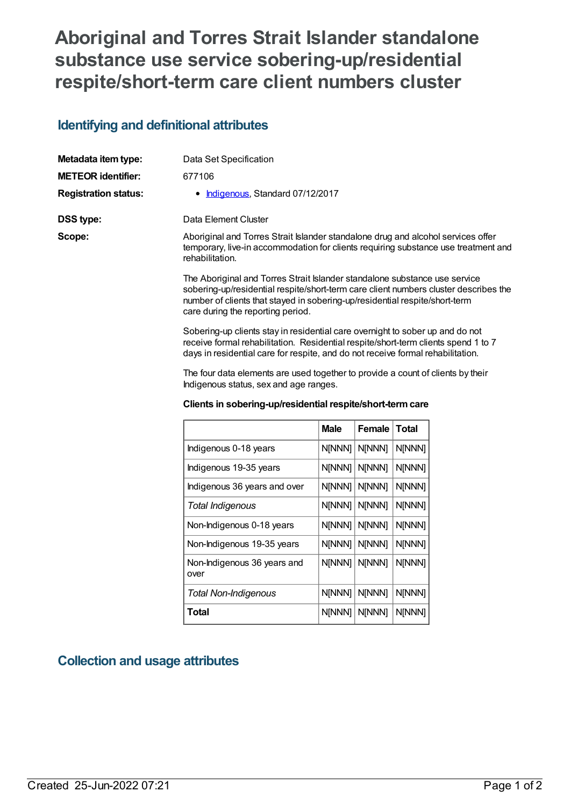# **Aboriginal and Torres Strait Islander standalone substance use service sobering-up/residential respite/short-term care client numbers cluster**

### **Identifying and definitional attributes**

| Metadata item type:         | Data Set Specification                                                                                                                                                                                                                                                                 |
|-----------------------------|----------------------------------------------------------------------------------------------------------------------------------------------------------------------------------------------------------------------------------------------------------------------------------------|
| <b>METEOR identifier:</b>   | 677106                                                                                                                                                                                                                                                                                 |
| <b>Registration status:</b> | • Indigenous, Standard 07/12/2017                                                                                                                                                                                                                                                      |
| DSS type:                   | Data Element Cluster                                                                                                                                                                                                                                                                   |
| Scope:                      | Aboriginal and Torres Strait Islander standalone drug and alcohol services offer<br>temporary, live-in accommodation for clients requiring substance use treatment and<br>rehabilitation.                                                                                              |
|                             | The Aboriginal and Torres Strait Islander standalone substance use service<br>sobering-up/residential respite/short-term care client numbers cluster describes the<br>number of clients that stayed in sobering-up/residential respite/short-term<br>care during the reporting period. |
|                             | Sobering-up clients stay in residential care overnight to sober up and do not<br>receive formal rehabilitation. Residential respite/short-term clients spend 1 to 7<br>days in residential care for respite, and do not receive formal rehabilitation.                                 |

The four data elements are used together to provide a count of clients by their Indigenous status, sex and age ranges.

#### **Clients in sobering-up/residential respite/short-termcare**

|                                     | <b>Male</b>   | <b>Female</b> | Total  |
|-------------------------------------|---------------|---------------|--------|
| Indigenous 0-18 years               | <b>N[NNN]</b> | N[NNN]        | N[NNN] |
| Indigenous 19-35 years              | N[NNN]        | N[NNN]        | N[NNN] |
| Indigenous 36 years and over        | N[NNN]        | N[NNN]        | N[NNN] |
| Total Indigenous                    | <b>N[NNN]</b> | N[NNN]        | N[NNN] |
| Non-Indigenous 0-18 years           | N[NNN]        | N[NNN]        | N[NNN] |
| Non-Indigenous 19-35 years          | <b>N[NNN]</b> | <b>N[NNN]</b> | N[NNN] |
| Non-Indigenous 36 years and<br>over | N[NNN]        | N[NNN]        | N[NNN] |
| <b>Total Non-Indigenous</b>         | N[NNN]        | N[NNN]        | N[NNN] |
| Total                               | N[NNN]        | N[NNN]        | N[NNN] |

## **Collection and usage attributes**